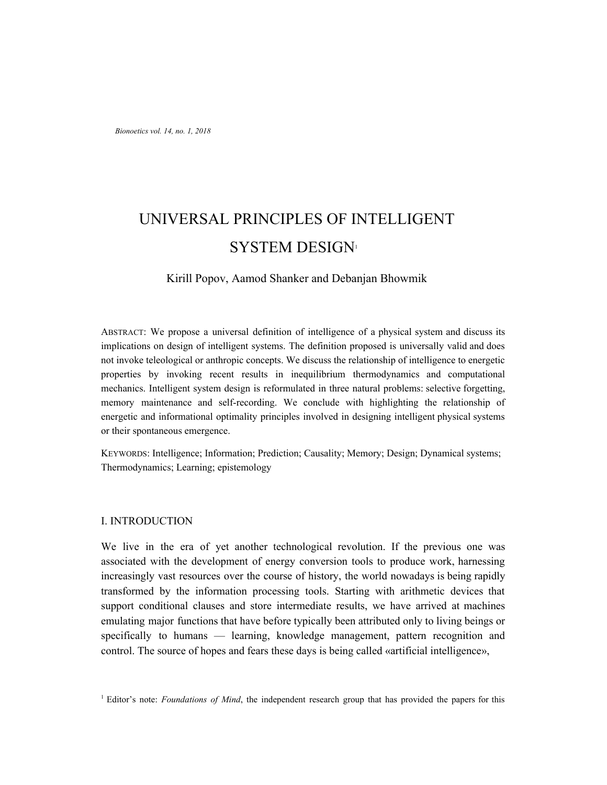# UNIVERSAL PRINCIPLES OF INTELLIGENT SYSTEM DESIGN<sup>1</sup>

# Kirill Popov, Aamod Shanker and Debanjan Bhowmik

ABSTRACT: We propose a universal definition of intelligence of a physical system and discuss its implications on design of intelligent systems. The definition proposed is universally valid and does not invoke teleological or anthropic concepts. We discuss the relationship of intelligence to energetic properties by invoking recent results in inequilibrium thermodynamics and computational mechanics. Intelligent system design is reformulated in three natural problems: selective forgetting, memory maintenance and self-recording. We conclude with highlighting the relationship of energetic and informational optimality principles involved in designing intelligent physical systems or their spontaneous emergence.

KEYWORDS: Intelligence; Information; Prediction; Causality; Memory; Design; Dynamical systems; Thermodynamics; Learning; epistemology

## I. INTRODUCTION

We live in the era of yet another technological revolution. If the previous one was associated with the development of energy conversion tools to produce work, harnessing increasingly vast resources over the course of history, the world nowadays is being rapidly transformed by the information processing tools. Starting with arithmetic devices that support conditional clauses and store intermediate results, we have arrived at machines emulating major functions that have before typically been attributed only to living beings or specifically to humans — learning, knowledge management, pattern recognition and control. The source of hopes and fears these days is being called «artificial intelligence»,

<sup>1</sup> Editor's note: *Foundations of Mind*, the independent research group that has provided the papers for this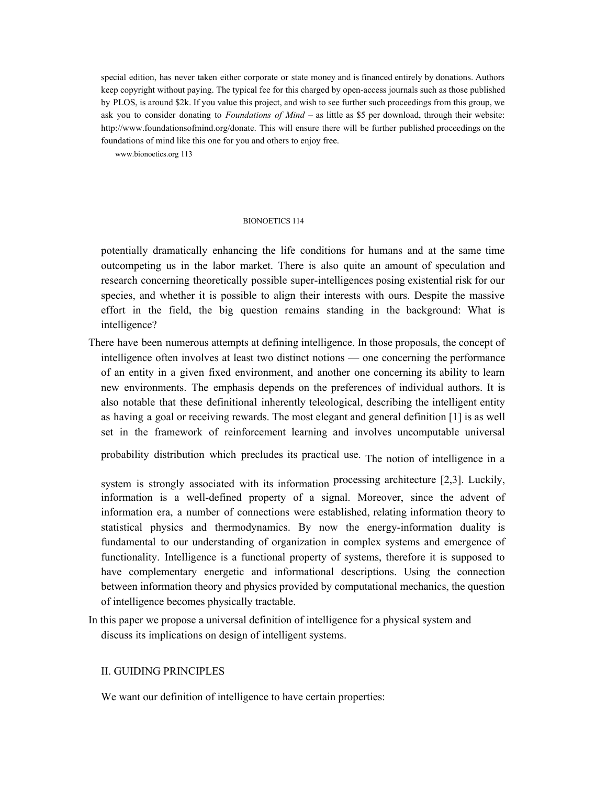special edition, has never taken either corporate or state money and is financed entirely by donations. Authors keep copyright without paying. The typical fee for this charged by open-access journals such as those published by PLOS, is around \$2k. If you value this project, and wish to see further such proceedings from this group, we ask you to consider donating to *Foundations of Mind* – as little as \$5 per download, through their website: http://www.foundationsofmind.org/donate. This will ensure there will be further published proceedings on the foundations of mind like this one for you and others to enjoy free.

www.bionoetics.org 113

#### BIONOETICS 114

potentially dramatically enhancing the life conditions for humans and at the same time outcompeting us in the labor market. There is also quite an amount of speculation and research concerning theoretically possible super-intelligences posing existential risk for our species, and whether it is possible to align their interests with ours. Despite the massive effort in the field, the big question remains standing in the background: What is intelligence?

There have been numerous attempts at defining intelligence. In those proposals, the concept of intelligence often involves at least two distinct notions — one concerning the performance of an entity in a given fixed environment, and another one concerning its ability to learn new environments. The emphasis depends on the preferences of individual authors. It is also notable that these definitional inherently teleological, describing the intelligent entity as having a goal or receiving rewards. The most elegant and general definition [1] is as well set in the framework of reinforcement learning and involves uncomputable universal

probability distribution which precludes its practical use. The notion of intelligence in a

system is strongly associated with its information processing architecture [2,3]. Luckily, information is a well-defined property of a signal. Moreover, since the advent of information era, a number of connections were established, relating information theory to statistical physics and thermodynamics. By now the energy-information duality is fundamental to our understanding of organization in complex systems and emergence of functionality. Intelligence is a functional property of systems, therefore it is supposed to have complementary energetic and informational descriptions. Using the connection between information theory and physics provided by computational mechanics, the question of intelligence becomes physically tractable.

In this paper we propose a universal definition of intelligence for a physical system and discuss its implications on design of intelligent systems.

# II. GUIDING PRINCIPLES

We want our definition of intelligence to have certain properties: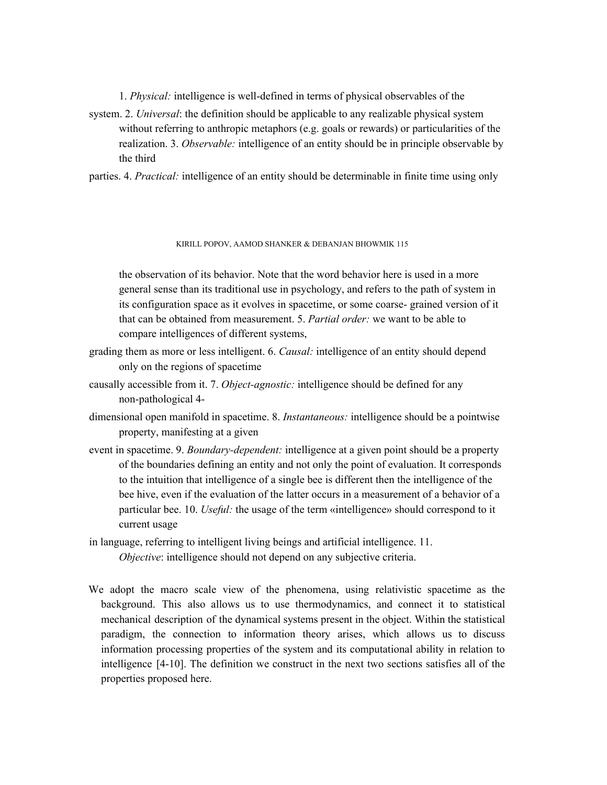1. *Physical:* intelligence is well-defined in terms of physical observables of the

system. 2. *Universal*: the definition should be applicable to any realizable physical system without referring to anthropic metaphors (e.g. goals or rewards) or particularities of the realization. 3. *Observable:* intelligence of an entity should be in principle observable by the third

parties. 4. *Practical:* intelligence of an entity should be determinable in finite time using only

#### KIRILL POPOV, AAMOD SHANKER & DEBANJAN BHOWMIK 115

the observation of its behavior. Note that the word behavior here is used in a more general sense than its traditional use in psychology, and refers to the path of system in its configuration space as it evolves in spacetime, or some coarse- grained version of it that can be obtained from measurement. 5. *Partial order:* we want to be able to compare intelligences of different systems,

- grading them as more or less intelligent. 6. *Causal:* intelligence of an entity should depend only on the regions of spacetime
- causally accessible from it. 7. *Object-agnostic:* intelligence should be defined for any non-pathological 4-
- dimensional open manifold in spacetime. 8. *Instantaneous:* intelligence should be a pointwise property, manifesting at a given
- event in spacetime. 9. *Boundary-dependent:* intelligence at a given point should be a property of the boundaries defining an entity and not only the point of evaluation. It corresponds to the intuition that intelligence of a single bee is different then the intelligence of the bee hive, even if the evaluation of the latter occurs in a measurement of a behavior of a particular bee. 10. *Useful:* the usage of the term «intelligence» should correspond to it current usage
- in language, referring to intelligent living beings and artificial intelligence. 11. *Objective*: intelligence should not depend on any subjective criteria.
- We adopt the macro scale view of the phenomena, using relativistic spacetime as the background. This also allows us to use thermodynamics, and connect it to statistical mechanical description of the dynamical systems present in the object. Within the statistical paradigm, the connection to information theory arises, which allows us to discuss information processing properties of the system and its computational ability in relation to intelligence [4-10]. The definition we construct in the next two sections satisfies all of the properties proposed here.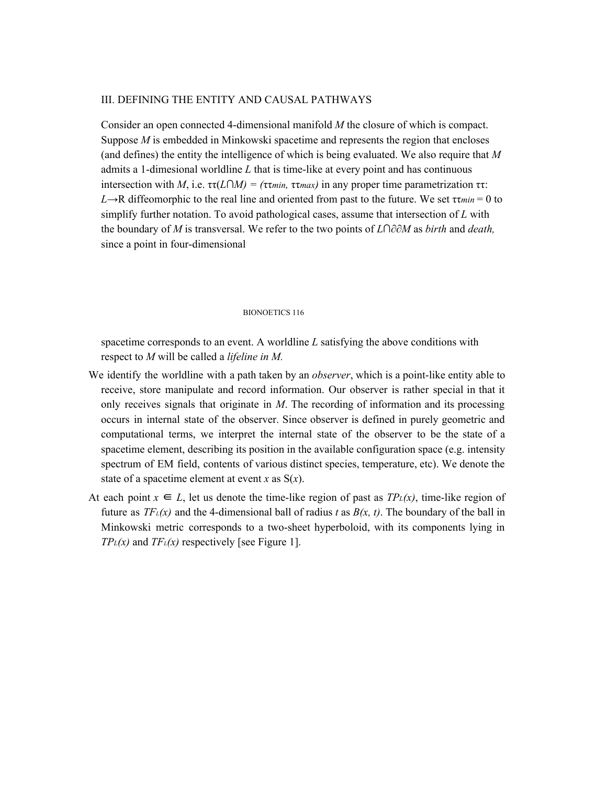### III. DEFINING THE ENTITY AND CAUSAL PATHWAYS

Consider an open connected 4-dimensional manifold *M* the closure of which is compact. Suppose *M* is embedded in Minkowski spacetime and represents the region that encloses (and defines) the entity the intelligence of which is being evaluated. We also require that *M* admits a 1-dimesional worldline *L* that is time-like at every point and has continuous intersection with *M*, i.e. ττ(*L*∩*M*) = (ττ*min*, ττ*max*) in any proper time parametrization ττ:  $L \rightarrow R$  diffeomorphic to the real line and oriented from past to the future. We set  $\tau_{\text{min}} = 0$  to simplify further notation. To avoid pathological cases, assume that intersection of *L* with the boundary of *M* is transversal. We refer to the two points of *L*∩∂∂*M* as *birth* and *death,* since a point in four-dimensional

#### BIONOETICS 116

spacetime corresponds to an event. A worldline *L* satisfying the above conditions with respect to *M* will be called a *lifeline in M.*

- We identify the worldline with a path taken by an *observer*, which is a point-like entity able to receive, store manipulate and record information. Our observer is rather special in that it only receives signals that originate in *M*. The recording of information and its processing occurs in internal state of the observer. Since observer is defined in purely geometric and computational terms, we interpret the internal state of the observer to be the state of a spacetime element, describing its position in the available configuration space (e.g. intensity spectrum of EM field, contents of various distinct species, temperature, etc). We denote the state of a spacetime element at event *x* as S(*x*).
- At each point  $x \in L$ , let us denote the time-like region of past as  $TP<sub>L</sub>(x)$ , time-like region of future as  $TF<sub>L</sub>(x)$  and the 4-dimensional ball of radius *t* as  $B(x, t)$ . The boundary of the ball in Minkowski metric corresponds to a two-sheet hyperboloid, with its components lying in *TP*<sup>*L*</sup>(*x*) and *TF<sup><i>L*</sup>(*x*) respectively [see Figure 1].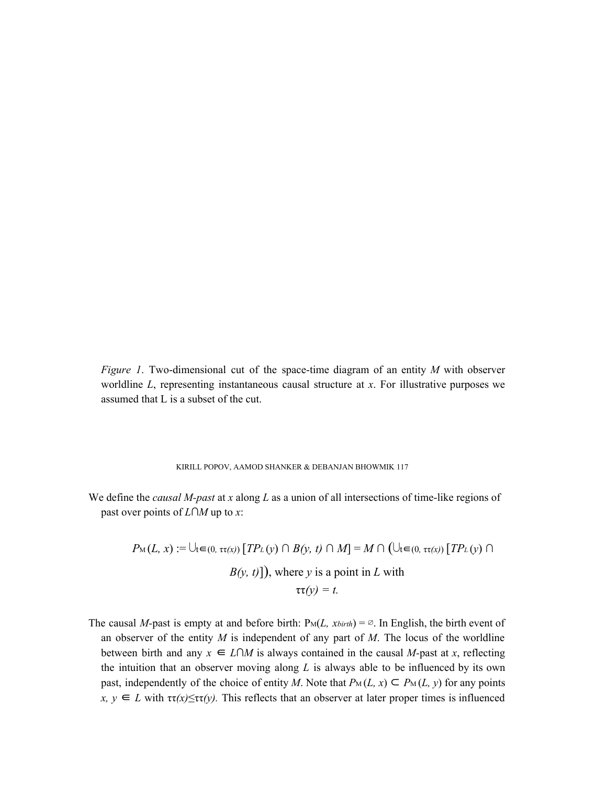*Figure 1*. Two-dimensional cut of the space-time diagram of an entity *M* with observer worldline *L*, representing instantaneous causal structure at *x*. For illustrative purposes we assumed that L is a subset of the cut.

#### KIRILL POPOV, AAMOD SHANKER & DEBANJAN BHOWMIK 117

We define the *causal M-past* at *x* along *L* as a union of all intersections of time-like regions of past over points of *L*∩*M* up to *x*:

$$
P_M(L, x) := \bigcup_{t \in (0, \tau(\alpha))} [TP_L(y) \cap B(y, t) \cap M] = M \cap (\bigcup_{t \in (0, \tau(\alpha))} [TP_L(y) \cap B(y, t)]\big),
$$
 where y is a point in L with  

$$
\tau(\gamma) = t.
$$

The causal *M*-past is empty at and before birth:  $P_M(L, x_{birth}) = \emptyset$ . In English, the birth event of an observer of the entity *M* is independent of any part of *M*. The locus of the worldline between birth and any  $x \in L \cap M$  is always contained in the causal *M*-past at *x*, reflecting the intuition that an observer moving along *L* is always able to be influenced by its own past, independently of the choice of entity *M*. Note that  $P_M(L, x) \subseteq P_M(L, y)$  for any points  $x, y \in L$  with  $\tau(\hat{x}) \leq \tau(\hat{y})$ . This reflects that an observer at later proper times is influenced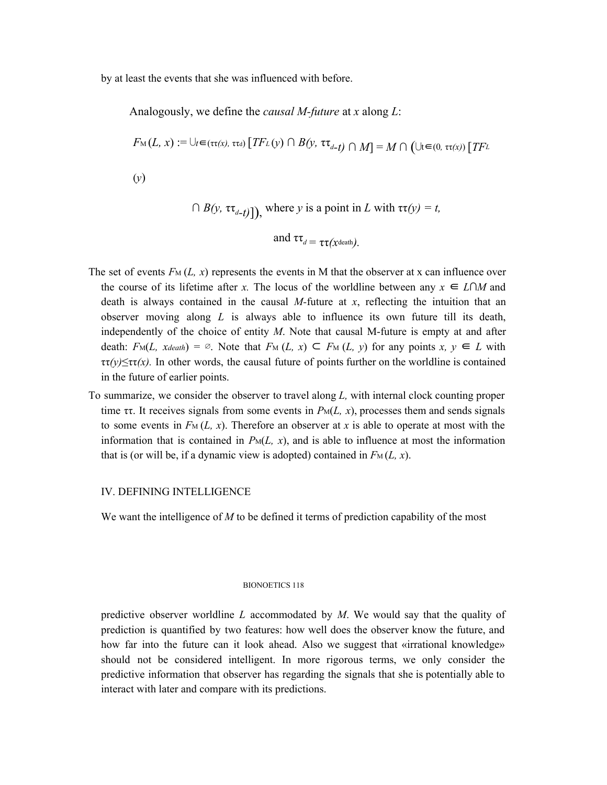by at least the events that she was influenced with before.

Analogously, we define the *causal M-future* at *x* along *L*:

$$
F_{\mathcal{M}}(L, x) := \bigcup_{t \in (\tau(\mathfrak{x}), \tau(\mathfrak{x}))} [TF_L(y) \cap B(y, \tau(\tau_{d-t})) \cap M] = M \cap (\bigcup_{t \in (0, \tau(\mathfrak{x}))} [TF_L(y)]
$$
  
(y)

$$
\bigcap B(y, \tau \tau_{d-t})\big], \text{ where } y \text{ is a point in } L \text{ with } \tau \tau(y) = t,
$$
  
and  $\tau \tau_{d} = \tau \tau(x\text{death}).$ 

- The set of events  $F_M(L, x)$  represents the events in M that the observer at x can influence over the course of its lifetime after *x*. The locus of the worldline between any  $x \in L \cap M$  and death is always contained in the causal *M-*future at *x*, reflecting the intuition that an observer moving along *L* is always able to influence its own future till its death, independently of the choice of entity *M*. Note that causal M-future is empty at and after death:  $F_M(L, x_{death}) = \emptyset$ . Note that  $F_M(L, x) \subseteq F_M(L, y)$  for any points  $x, y \in L$  with  $\tau\tau(\gamma) \leq \tau\tau(\chi)$ . In other words, the causal future of points further on the worldline is contained in the future of earlier points.
- To summarize, we consider the observer to travel along *L,* with internal clock counting proper time  $\tau\tau$ . It receives signals from some events in  $P_M(L, x)$ , processes them and sends signals to some events in  $F_M(L, x)$ . Therefore an observer at x is able to operate at most with the information that is contained in  $P_M(L, x)$ , and is able to influence at most the information that is (or will be, if a dynamic view is adopted) contained in  $F_M(L, x)$ .

## IV. DEFINING INTELLIGENCE

We want the intelligence of *M* to be defined it terms of prediction capability of the most

#### BIONOETICS 118

predictive observer worldline *L* accommodated by *M*. We would say that the quality of prediction is quantified by two features: how well does the observer know the future, and how far into the future can it look ahead. Also we suggest that «irrational knowledge» should not be considered intelligent. In more rigorous terms, we only consider the predictive information that observer has regarding the signals that she is potentially able to interact with later and compare with its predictions.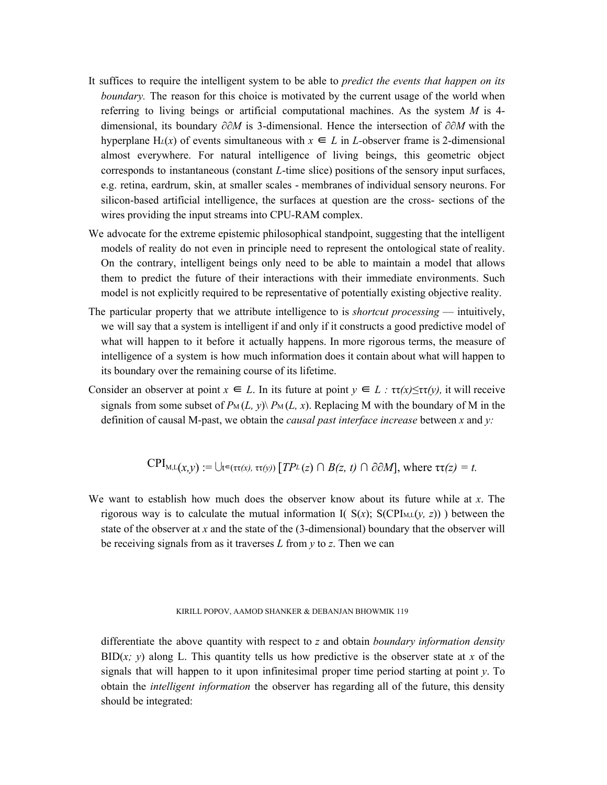- It suffices to require the intelligent system to be able to *predict the events that happen on its boundary.* The reason for this choice is motivated by the current usage of the world when referring to living beings or artificial computational machines. As the system *M* is 4 dimensional, its boundary ∂∂*M* is 3-dimensional. Hence the intersection of ∂∂*M* with the hyperplane H<sub>L</sub>(x) of events simultaneous with  $x \in L$  in *L*-observer frame is 2-dimensional almost everywhere. For natural intelligence of living beings, this geometric object corresponds to instantaneous (constant *L*-time slice) positions of the sensory input surfaces, e.g. retina, eardrum, skin, at smaller scales - membranes of individual sensory neurons. For silicon-based artificial intelligence, the surfaces at question are the cross- sections of the wires providing the input streams into CPU-RAM complex.
- We advocate for the extreme epistemic philosophical standpoint, suggesting that the intelligent models of reality do not even in principle need to represent the ontological state of reality. On the contrary, intelligent beings only need to be able to maintain a model that allows them to predict the future of their interactions with their immediate environments. Such model is not explicitly required to be representative of potentially existing objective reality.
- The particular property that we attribute intelligence to is *shortcut processing* intuitively, we will say that a system is intelligent if and only if it constructs a good predictive model of what will happen to it before it actually happens. In more rigorous terms, the measure of intelligence of a system is how much information does it contain about what will happen to its boundary over the remaining course of its lifetime.
- Consider an observer at point  $x \in L$ . In its future at point  $y \in L$  *:*  $\tau(\alpha) \leq \tau(\gamma)$ , it will receive signals from some subset of  $P_M(L, y) \backslash P_M(L, x)$ . Replacing M with the boundary of M in the definition of causal M-past, we obtain the *causal past interface increase* between *x* and *y:*

$$
CPI_{M,L}(x,y) := \bigcup_{t \in (\tau \tau(x), \tau \tau(y))} [TP_L(z) \cap B(z, t) \cap \partial \partial M], \text{ where } \tau \tau(z) = t.
$$

We want to establish how much does the observer know about its future while at *x*. The rigorous way is to calculate the mutual information I(  $S(x)$ ;  $S(CPI_{M,L}(y, z))$  ) between the state of the observer at *x* and the state of the (3-dimensional) boundary that the observer will be receiving signals from as it traverses *L* from *y* to *z*. Then we can

#### KIRILL POPOV, AAMOD SHANKER & DEBANJAN BHOWMIK 119

differentiate the above quantity with respect to *z* and obtain *boundary information density*  $BID(x; y)$  along L. This quantity tells us how predictive is the observer state at *x* of the signals that will happen to it upon infinitesimal proper time period starting at point *y*. To obtain the *intelligent information* the observer has regarding all of the future, this density should be integrated: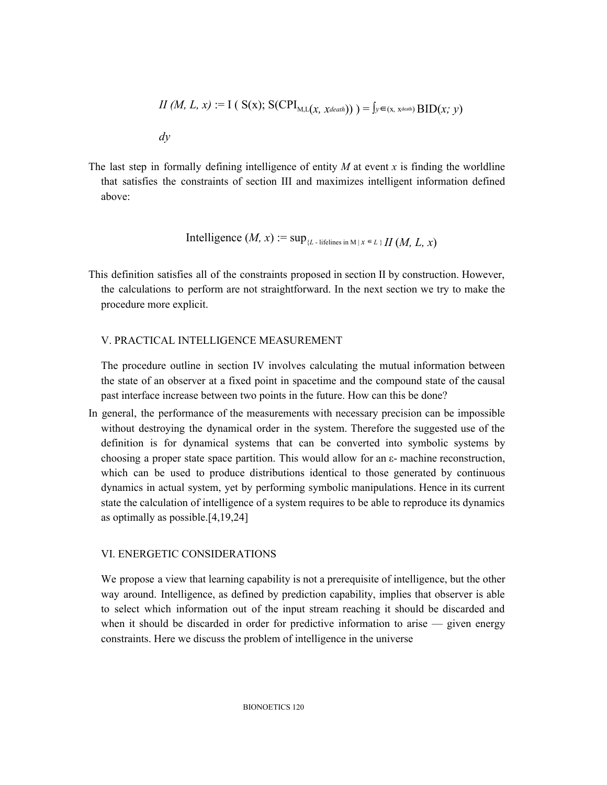$$
II (M, L, x) := I ( S(x); S(CPI_{M,L}(x, x_{death})) ) = \int y \in (x, x_{death}) BID(x; y)
$$
  
*dy*

The last step in formally defining intelligence of entity *M* at event *x* is finding the worldline that satisfies the constraints of section III and maximizes intelligent information defined above:

Intelligence 
$$
(M, x) := \sup_{\{L\text{ - lifelines in }M\}} f \in L \setminus H(M, L, x)
$$

This definition satisfies all of the constraints proposed in section II by construction. However, the calculations to perform are not straightforward. In the next section we try to make the procedure more explicit.

# V. PRACTICAL INTELLIGENCE MEASUREMENT

The procedure outline in section IV involves calculating the mutual information between the state of an observer at a fixed point in spacetime and the compound state of the causal past interface increase between two points in the future. How can this be done?

In general, the performance of the measurements with necessary precision can be impossible without destroying the dynamical order in the system. Therefore the suggested use of the definition is for dynamical systems that can be converted into symbolic systems by choosing a proper state space partition. This would allow for an ε- machine reconstruction, which can be used to produce distributions identical to those generated by continuous dynamics in actual system, yet by performing symbolic manipulations. Hence in its current state the calculation of intelligence of a system requires to be able to reproduce its dynamics as optimally as possible.[4,19,24]

## VI. ENERGETIC CONSIDERATIONS

We propose a view that learning capability is not a prerequisite of intelligence, but the other way around. Intelligence, as defined by prediction capability, implies that observer is able to select which information out of the input stream reaching it should be discarded and when it should be discarded in order for predictive information to arise — given energy constraints. Here we discuss the problem of intelligence in the universe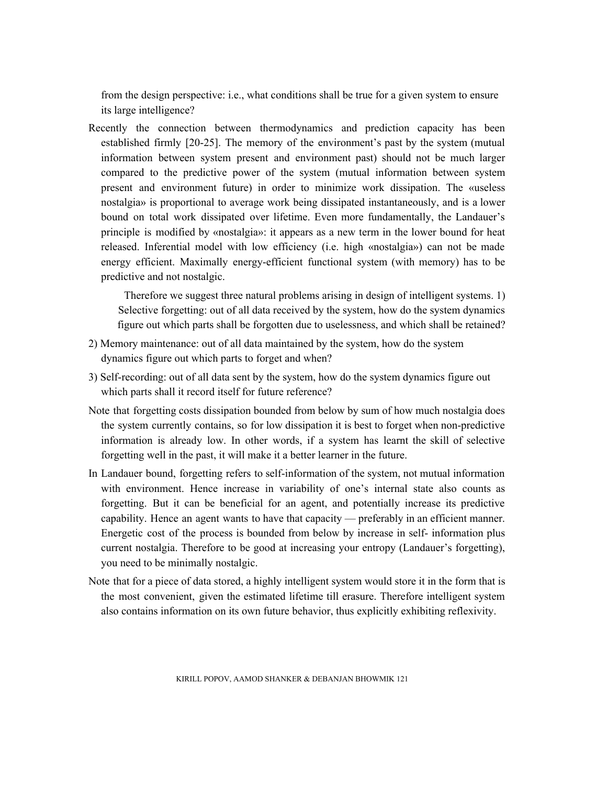from the design perspective: i.e., what conditions shall be true for a given system to ensure its large intelligence?

Recently the connection between thermodynamics and prediction capacity has been established firmly [20-25]. The memory of the environment's past by the system (mutual information between system present and environment past) should not be much larger compared to the predictive power of the system (mutual information between system present and environment future) in order to minimize work dissipation. The «useless nostalgia» is proportional to average work being dissipated instantaneously, and is a lower bound on total work dissipated over lifetime. Even more fundamentally, the Landauer's principle is modified by «nostalgia»: it appears as a new term in the lower bound for heat released. Inferential model with low efficiency (i.e. high «nostalgia») can not be made energy efficient. Maximally energy-efficient functional system (with memory) has to be predictive and not nostalgic.

Therefore we suggest three natural problems arising in design of intelligent systems. 1) Selective forgetting: out of all data received by the system, how do the system dynamics figure out which parts shall be forgotten due to uselessness, and which shall be retained?

- 2) Memory maintenance: out of all data maintained by the system, how do the system dynamics figure out which parts to forget and when?
- 3) Self-recording: out of all data sent by the system, how do the system dynamics figure out which parts shall it record itself for future reference?
- Note that forgetting costs dissipation bounded from below by sum of how much nostalgia does the system currently contains, so for low dissipation it is best to forget when non-predictive information is already low. In other words, if a system has learnt the skill of selective forgetting well in the past, it will make it a better learner in the future.
- In Landauer bound, forgetting refers to self-information of the system, not mutual information with environment. Hence increase in variability of one's internal state also counts as forgetting. But it can be beneficial for an agent, and potentially increase its predictive capability. Hence an agent wants to have that capacity — preferably in an efficient manner. Energetic cost of the process is bounded from below by increase in self- information plus current nostalgia. Therefore to be good at increasing your entropy (Landauer's forgetting), you need to be minimally nostalgic.
- Note that for a piece of data stored, a highly intelligent system would store it in the form that is the most convenient, given the estimated lifetime till erasure. Therefore intelligent system also contains information on its own future behavior, thus explicitly exhibiting reflexivity.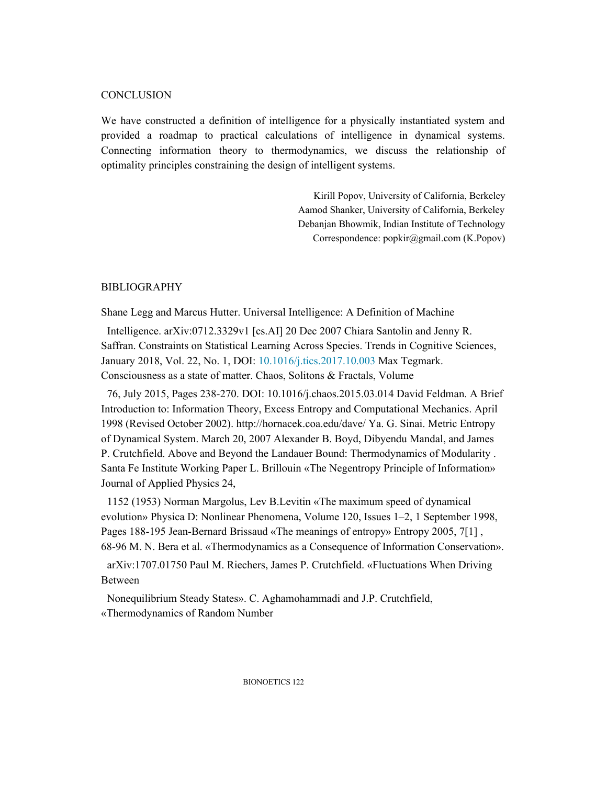# **CONCLUSION**

We have constructed a definition of intelligence for a physically instantiated system and provided a roadmap to practical calculations of intelligence in dynamical systems. Connecting information theory to thermodynamics, we discuss the relationship of optimality principles constraining the design of intelligent systems.

> Kirill Popov, University of California, Berkeley Aamod Shanker, University of California, Berkeley Debanjan Bhowmik, Indian Institute of Technology Correspondence: popkir@gmail.com (K.Popov)

# BIBLIOGRAPHY

Shane Legg and Marcus Hutter. Universal Intelligence: A Definition of Machine

Intelligence. arXiv:0712.3329v1 [cs.AI] 20 Dec 2007 Chiara Santolin and Jenny R. Saffran. Constraints on Statistical Learning Across Species. Trends in Cognitive Sciences, January 2018, Vol. 22, No. 1, DOI: 10.1016/j.tics.2017.10.003 Max Tegmark. Consciousness as a state of matter. Chaos, Solitons & Fractals, Volume

76, July 2015, Pages 238-270. DOI: 10.1016/j.chaos.2015.03.014 David Feldman. A Brief Introduction to: Information Theory, Excess Entropy and Computational Mechanics. April 1998 (Revised October 2002). http://hornacek.coa.edu/dave/ Ya. G. Sinai. Metric Entropy of Dynamical System. March 20, 2007 Alexander B. Boyd, Dibyendu Mandal, and James P. Crutchfield. Above and Beyond the Landauer Bound: Thermodynamics of Modularity . Santa Fe Institute Working Paper L. Brillouin «The Negentropy Principle of Information» Journal of Applied Physics 24,

1152 (1953) Norman Margolus, Lev B.Levitin «The maximum speed of dynamical evolution» Physica D: Nonlinear Phenomena, Volume 120, Issues 1–2, 1 September 1998, Pages 188-195 Jean-Bernard Brissaud «The meanings of entropy» Entropy 2005, 7[1] , 68-96 M. N. Bera et al. «Thermodynamics as a Consequence of Information Conservation».

arXiv:1707.01750 Paul M. Riechers, James P. Crutchfield. «Fluctuations When Driving Between

Nonequilibrium Steady States». C. Aghamohammadi and J.P. Crutchfield, «Thermodynamics of Random Number